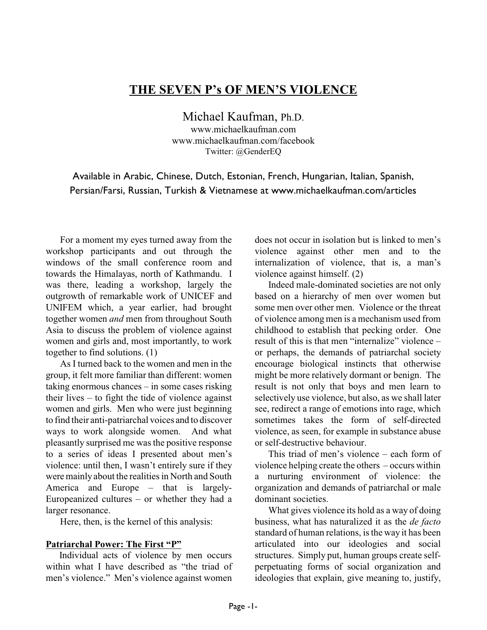# **THE SEVEN P's OF MEN'S VIOLENCE**

Michael Kaufman, Ph.D. www.michaelkaufman.com

www.michaelkaufman.com/facebook Twitter: @GenderEQ

Available in Arabic, Chinese, Dutch, Estonian, French, Hungarian, Italian, Spanish, Persian/Farsi, Russian, Turkish & Vietnamese at www.michaelkaufman.com/articles

For a moment my eyes turned away from the workshop participants and out through the windows of the small conference room and towards the Himalayas, north of Kathmandu. I was there, leading a workshop, largely the outgrowth of remarkable work of UNICEF and UNIFEM which, a year earlier, had brought together women *and* men from throughout South Asia to discuss the problem of violence against women and girls and, most importantly, to work together to find solutions. (1)

As I turned back to the women and men in the group, it felt more familiar than different: women taking enormous chances – in some cases risking their lives – to fight the tide of violence against women and girls. Men who were just beginning to find their anti-patriarchal voices and to discover ways to work alongside women. And what pleasantly surprised me was the positive response to a series of ideas I presented about men's violence: until then, I wasn't entirely sure if they were mainly about the realities in North and South America and Europe – that is largely-Europeanized cultures – or whether they had a larger resonance.

Here, then, is the kernel of this analysis:

#### **Patriarchal Power: The First "P"**

Individual acts of violence by men occurs within what I have described as "the triad of men's violence." Men's violence against women

does not occur in isolation but is linked to men's violence against other men and to the internalization of violence, that is, a man's violence against himself. (2)

Indeed male-dominated societies are not only based on a hierarchy of men over women but some men over other men. Violence or the threat of violence among men is a mechanism used from childhood to establish that pecking order. One result of this is that men "internalize" violence – or perhaps, the demands of patriarchal society encourage biological instincts that otherwise might be more relatively dormant or benign. The result is not only that boys and men learn to selectively use violence, but also, as we shall later see, redirect a range of emotions into rage, which sometimes takes the form of self-directed violence, as seen, for example in substance abuse or self-destructive behaviour.

This triad of men's violence – each form of violence helping create the others – occurs within a nurturing environment of violence: the organization and demands of patriarchal or male dominant societies.

What gives violence its hold as a way of doing business, what has naturalized it as the *de facto* standard of human relations, is the way it has been articulated into our ideologies and social structures. Simply put, human groups create selfperpetuating forms of social organization and ideologies that explain, give meaning to, justify,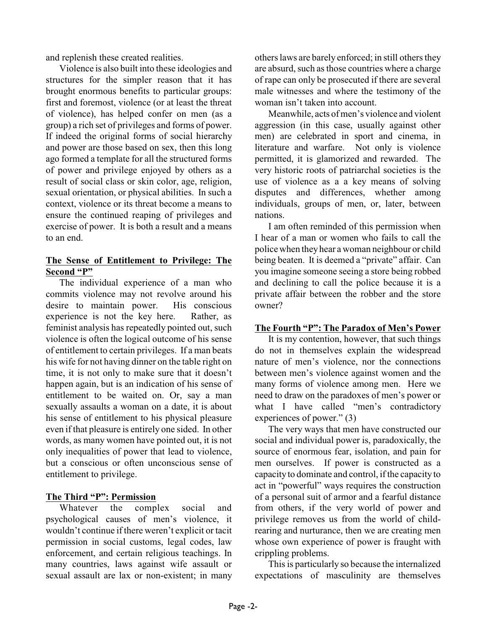and replenish these created realities.

Violence is also built into these ideologies and structures for the simpler reason that it has brought enormous benefits to particular groups: first and foremost, violence (or at least the threat of violence), has helped confer on men (as a group) a rich set of privileges and forms of power. If indeed the original forms of social hierarchy and power are those based on sex, then this long ago formed a template for all the structured forms of power and privilege enjoyed by others as a result of social class or skin color, age, religion, sexual orientation, or physical abilities. In such a context, violence or its threat become a means to ensure the continued reaping of privileges and exercise of power. It is both a result and a means to an end.

## **The Sense of Entitlement to Privilege: The Second "P"**

The individual experience of a man who commits violence may not revolve around his desire to maintain power. His conscious experience is not the key here. Rather, as feminist analysis has repeatedly pointed out, such violence is often the logical outcome of his sense of entitlement to certain privileges. If a man beats his wife for not having dinner on the table right on time, it is not only to make sure that it doesn't happen again, but is an indication of his sense of entitlement to be waited on. Or, say a man sexually assaults a woman on a date, it is about his sense of entitlement to his physical pleasure even if that pleasure is entirely one sided. In other words, as many women have pointed out, it is not only inequalities of power that lead to violence, but a conscious or often unconscious sense of entitlement to privilege.

## **The Third "P": Permission**

Whatever the complex social and psychological causes of men's violence, it wouldn't continue if there weren't explicit or tacit permission in social customs, legal codes, law enforcement, and certain religious teachings. In many countries, laws against wife assault or sexual assault are lax or non-existent; in many others laws are barely enforced; in still others they are absurd, such as those countries where a charge of rape can only be prosecuted if there are several male witnesses and where the testimony of the woman isn't taken into account.

Meanwhile, acts of men's violence and violent aggression (in this case, usually against other men) are celebrated in sport and cinema, in literature and warfare. Not only is violence permitted, it is glamorized and rewarded. The very historic roots of patriarchal societies is the use of violence as a a key means of solving disputes and differences, whether among individuals, groups of men, or, later, between nations.

I am often reminded of this permission when I hear of a man or women who fails to call the police when theyhear a woman neighbour or child being beaten. It is deemed a "private" affair. Can you imagine someone seeing a store being robbed and declining to call the police because it is a private affair between the robber and the store owner?

## **The Fourth "P": The Paradox of Men's Power**

It is my contention, however, that such things do not in themselves explain the widespread nature of men's violence, nor the connections between men's violence against women and the many forms of violence among men. Here we need to draw on the paradoxes of men's power or what I have called "men's contradictory experiences of power." (3)

The very ways that men have constructed our social and individual power is, paradoxically, the source of enormous fear, isolation, and pain for men ourselves. If power is constructed as a capacityto dominate and control, if the capacity to act in "powerful" ways requires the construction of a personal suit of armor and a fearful distance from others, if the very world of power and privilege removes us from the world of childrearing and nurturance, then we are creating men whose own experience of power is fraught with crippling problems.

This is particularly so because the internalized expectations of masculinity are themselves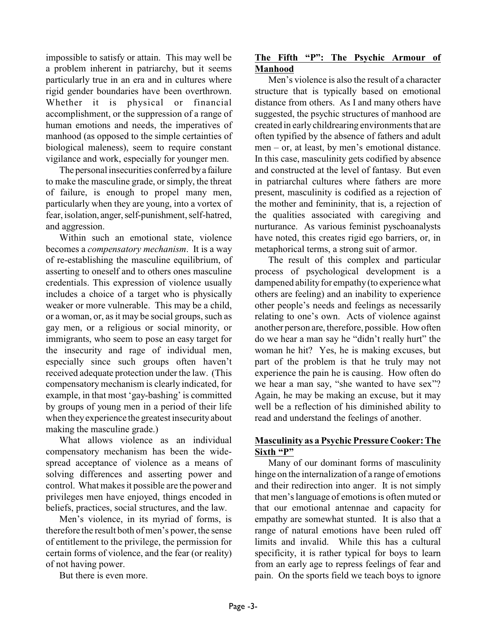impossible to satisfy or attain. This may well be a problem inherent in patriarchy, but it seems particularly true in an era and in cultures where rigid gender boundaries have been overthrown. Whether it is physical or financial accomplishment, or the suppression of a range of human emotions and needs, the imperatives of manhood (as opposed to the simple certainties of biological maleness), seem to require constant vigilance and work, especially for younger men.

The personal insecurities conferred bya failure to make the masculine grade, or simply, the threat of failure, is enough to propel many men, particularly when they are young, into a vortex of fear, isolation, anger, self-punishment, self-hatred, and aggression.

Within such an emotional state, violence becomes a *compensatory mechanism*. It is a way of re-establishing the masculine equilibrium, of asserting to oneself and to others ones masculine credentials. This expression of violence usually includes a choice of a target who is physically weaker or more vulnerable. This may be a child, or a woman, or, as it may be social groups, such as gay men, or a religious or social minority, or immigrants, who seem to pose an easy target for the insecurity and rage of individual men, especially since such groups often haven't received adequate protection under the law. (This compensatory mechanism is clearly indicated, for example, in that most 'gay-bashing' is committed by groups of young men in a period of their life when they experience the greatest insecurity about making the masculine grade.)

What allows violence as an individual compensatory mechanism has been the widespread acceptance of violence as a means of solving differences and asserting power and control. What makes it possible are the power and privileges men have enjoyed, things encoded in beliefs, practices, social structures, and the law.

Men's violence, in its myriad of forms, is therefore the result both of men's power, the sense of entitlement to the privilege, the permission for certain forms of violence, and the fear (or reality) of not having power.

But there is even more.

## **The Fifth "P": The Psychic Armour of Manhood**

Men's violence is also the result of a character structure that is typically based on emotional distance from others. As I and many others have suggested, the psychic structures of manhood are created in early childrearing environments that are often typified by the absence of fathers and adult men – or, at least, by men's emotional distance. In this case, masculinity gets codified by absence and constructed at the level of fantasy. But even in patriarchal cultures where fathers are more present, masculinity is codified as a rejection of the mother and femininity, that is, a rejection of the qualities associated with caregiving and nurturance. As various feminist pyschoanalysts have noted, this creates rigid ego barriers, or, in metaphorical terms, a strong suit of armor.

The result of this complex and particular process of psychological development is a dampened ability for empathy (to experience what others are feeling) and an inability to experience other people's needs and feelings as necessarily relating to one's own. Acts of violence against another person are, therefore, possible. How often do we hear a man say he "didn't really hurt" the woman he hit? Yes, he is making excuses, but part of the problem is that he truly may not experience the pain he is causing. How often do we hear a man say, "she wanted to have sex"? Again, he may be making an excuse, but it may well be a reflection of his diminished ability to read and understand the feelings of another.

#### **Masculinity as a Psychic Pressure Cooker:The Sixth "P"**

Many of our dominant forms of masculinity hinge on the internalization of a range of emotions and their redirection into anger. It is not simply that men's language of emotions is often muted or that our emotional antennae and capacity for empathy are somewhat stunted. It is also that a range of natural emotions have been ruled off limits and invalid. While this has a cultural specificity, it is rather typical for boys to learn from an early age to repress feelings of fear and pain. On the sports field we teach boys to ignore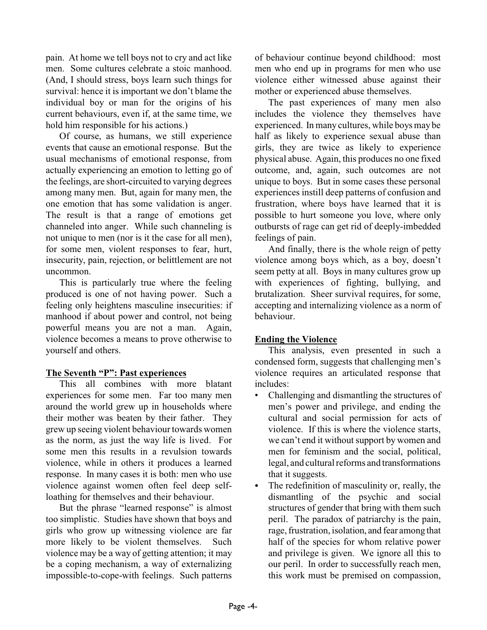pain. At home we tell boys not to cry and act like men. Some cultures celebrate a stoic manhood. (And, I should stress, boys learn such things for survival: hence it is important we don't blame the individual boy or man for the origins of his current behaviours, even if, at the same time, we hold him responsible for his actions.)

Of course, as humans, we still experience events that cause an emotional response. But the usual mechanisms of emotional response, from actually experiencing an emotion to letting go of the feelings, are short-circuited to varying degrees among many men. But, again for many men, the one emotion that has some validation is anger. The result is that a range of emotions get channeled into anger. While such channeling is not unique to men (nor is it the case for all men), for some men, violent responses to fear, hurt, insecurity, pain, rejection, or belittlement are not uncommon.

This is particularly true where the feeling produced is one of not having power. Such a feeling only heightens masculine insecurities: if manhood if about power and control, not being powerful means you are not a man. Again, violence becomes a means to prove otherwise to yourself and others.

## **The Seventh "P": Past experiences**

This all combines with more blatant experiences for some men. Far too many men around the world grew up in households where their mother was beaten by their father. They grew up seeing violent behaviour towards women as the norm, as just the way life is lived. For some men this results in a revulsion towards violence, while in others it produces a learned response. In many cases it is both: men who use violence against women often feel deep selfloathing for themselves and their behaviour.

But the phrase "learned response" is almost too simplistic. Studies have shown that boys and girls who grow up witnessing violence are far more likely to be violent themselves. Such violence may be a way of getting attention; it may be a coping mechanism, a way of externalizing impossible-to-cope-with feelings. Such patterns

of behaviour continue beyond childhood: most men who end up in programs for men who use violence either witnessed abuse against their mother or experienced abuse themselves.

The past experiences of many men also includes the violence they themselves have experienced. In many cultures, while boys maybe half as likely to experience sexual abuse than girls, they are twice as likely to experience physical abuse. Again, this produces no one fixed outcome, and, again, such outcomes are not unique to boys. But in some cases these personal experiences instill deep patterns of confusion and frustration, where boys have learned that it is possible to hurt someone you love, where only outbursts of rage can get rid of deeply-imbedded feelings of pain.

And finally, there is the whole reign of petty violence among boys which, as a boy, doesn't seem petty at all. Boys in many cultures grow up with experiences of fighting, bullying, and brutalization. Sheer survival requires, for some, accepting and internalizing violence as a norm of behaviour.

## **Ending the Violence**

This analysis, even presented in such a condensed form, suggests that challenging men's violence requires an articulated response that includes:

- Challenging and dismantling the structures of men's power and privilege, and ending the cultural and social permission for acts of violence. If this is where the violence starts, we can't end it without support by women and men for feminism and the social, political, legal, and cultural reforms and transformations that it suggests.
- The redefinition of masculinity or, really, the dismantling of the psychic and social structures of gender that bring with them such peril. The paradox of patriarchy is the pain, rage, frustration, isolation, and fear among that half of the species for whom relative power and privilege is given. We ignore all this to our peril. In order to successfully reach men, this work must be premised on compassion,